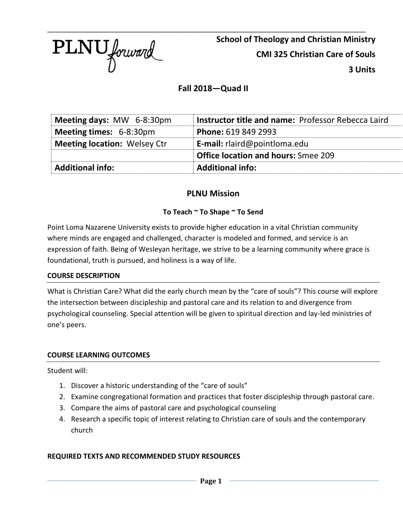

\_\_\_\_\_\_\_\_\_\_\_\_\_\_\_\_\_\_\_\_\_\_\_\_\_\_\_\_\_\_\_\_\_\_\_\_\_\_\_\_\_\_\_\_\_\_\_\_\_\_\_\_\_\_\_\_\_\_\_\_\_\_\_\_\_\_\_\_\_\_\_\_\_\_\_\_\_\_\_\_\_ **School of Theology and Christian Ministry CMI 325 Christian Care of Souls 3 Units** 

# **Fall 2018—Quad II**

| <b>Additional info:</b>             | <b>Additional info:</b>                            |  |
|-------------------------------------|----------------------------------------------------|--|
|                                     | <b>Office location and hours: Smee 209</b>         |  |
| <b>Meeting location: Welsey Ctr</b> | <b>E-mail:</b> $r$ laird@pointloma.edu             |  |
| Meeting times: 6-8:30pm             | Phone: 619 849 2993                                |  |
| Meeting days: MW 6-8:30pm           | Instructor title and name: Professor Rebecca Laird |  |

# **PLNU Mission**

# **To Teach ~ To Shape ~ To Send**

Point Loma Nazarene University exists to provide higher education in a vital Christian community where minds are engaged and challenged, character is modeled and formed, and service is an expression of faith. Being of Wesleyan heritage, we strive to be a learning community where grace is foundational, truth is pursued, and holiness is a way of life.

## **COURSE DESCRIPTION**

What is Christian Care? What did the early church mean by the "care of souls"? This course will explore the intersection between discipleship and pastoral care and its relation to and divergence from psychological counseling. Special attention will be given to spiritual direction and lay-led ministries of one's peers.

## **COURSE LEARNING OUTCOMES**

Student will:

- 1. Discover a historic understanding of the "care of souls"
- 2. Examine congregational formation and practices that foster discipleship through pastoral care.
- 3. Compare the aims of pastoral care and psychological counseling
- 4. Research a specific topic of interest relating to Christian care of souls and the contemporary church

## **REQUIRED TEXTS AND RECOMMENDED STUDY RESOURCES**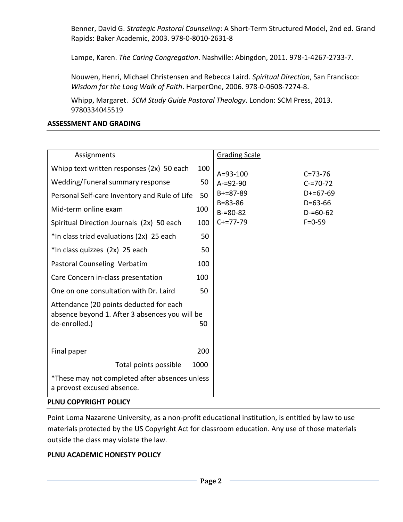Benner, David G. *Strategic Pastoral Counseling*: A Short-Term Structured Model, 2nd ed. Grand Rapids: Baker Academic, 2003. 978-0-8010-2631-8

Lampe, Karen. *The Caring Congregation*. Nashville: Abingdon, 2011. 978-1-4267-2733-7.

Nouwen, Henri, Michael Christensen and Rebecca Laird. *Spiritual Direction*, San Francisco: *Wisdom for the Long Walk of Faith*. HarperOne, 2006. 978-0-0608-7274-8.

Whipp, Margaret. *SCM Study Guide Pastoral Theology*. London: SCM Press, 2013. 9780334045519

## **ASSESSMENT AND GRADING**

| Assignments                                                                                                |      | <b>Grading Scale</b>                                         |
|------------------------------------------------------------------------------------------------------------|------|--------------------------------------------------------------|
| Whipp text written responses (2x) 50 each                                                                  | 100  | $A = 93 - 100$<br>$C = 73 - 76$                              |
| Wedding/Funeral summary response                                                                           | 50   | $A = 92 - 90$<br>$C = 70 - 72$                               |
| Personal Self-care Inventory and Rule of Life                                                              | 50   | $B+=87-89$<br>$D+=67-69$                                     |
| Mid-term online exam                                                                                       | 100  | $B = 83 - 86$<br>$D=63-66$<br>$B = 80 - 82$<br>$D = 60 - 62$ |
| Spiritual Direction Journals (2x) 50 each                                                                  | 100  | $C+=77-79$<br>$F = 0 - 59$                                   |
| *In class triad evaluations (2x) 25 each                                                                   | 50   |                                                              |
| *In class quizzes (2x) 25 each                                                                             | 50   |                                                              |
| Pastoral Counseling Verbatim                                                                               | 100  |                                                              |
| Care Concern in-class presentation                                                                         | 100  |                                                              |
| One on one consultation with Dr. Laird                                                                     | 50   |                                                              |
| Attendance (20 points deducted for each<br>absence beyond 1. After 3 absences you will be<br>de-enrolled.) | 50   |                                                              |
| Final paper                                                                                                | 200  |                                                              |
| Total points possible                                                                                      | 1000 |                                                              |
| *These may not completed after absences unless<br>a provost excused absence.                               |      |                                                              |

## **PLNU COPYRIGHT POLICY**

Point Loma Nazarene University, as a non-profit educational institution, is entitled by law to use materials protected by the US Copyright Act for classroom education. Any use of those materials outside the class may violate the law.

## **PLNU ACADEMIC HONESTY POLICY**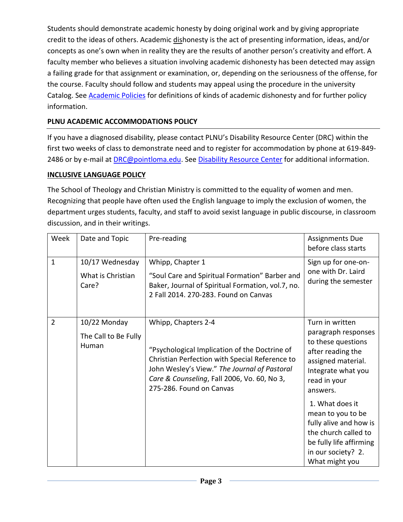Students should demonstrate academic honesty by doing original work and by giving appropriate credit to the ideas of others. Academic dishonesty is the act of presenting information, ideas, and/or concepts as one's own when in reality they are the results of another person's creativity and effort. A faculty member who believes a situation involving academic dishonesty has been detected may assign a failing grade for that assignment or examination, or, depending on the seriousness of the offense, for the course. Faculty should follow and students may appeal using the procedure in the university Catalog. See **Academic Policies** for definitions of kinds of academic dishonesty and for further policy information.

# **PLNU ACADEMIC ACCOMMODATIONS POLICY**

If you have a diagnosed disability, please contact PLNU's Disability Resource Center (DRC) within the first two weeks of class to demonstrate need and to register for accommodation by phone at 619-849- 2486 or by e-mail at [DRC@pointloma.edu.](mailto:DRC@pointloma.edu) See [Disability Resource Center](http://www.pointloma.edu/experience/offices/administrative-offices/academic-advising-office/disability-resource-center) for additional information.

# **INCLUSIVE LANGUAGE POLICY**

The School of Theology and Christian Ministry is committed to the equality of women and men. Recognizing that people have often used the English language to imply the exclusion of women, the department urges students, faculty, and staff to avoid sexist language in public discourse, in classroom discussion, and in their writings.

| Week           | Date and Topic                                | Pre-reading                                                                                                                                                                                                                                       | <b>Assignments Due</b><br>before class starts                                                                                                             |
|----------------|-----------------------------------------------|---------------------------------------------------------------------------------------------------------------------------------------------------------------------------------------------------------------------------------------------------|-----------------------------------------------------------------------------------------------------------------------------------------------------------|
| $\mathbf{1}$   | 10/17 Wednesday<br>What is Christian<br>Care? | Whipp, Chapter 1<br>"Soul Care and Spiritual Formation" Barber and<br>Baker, Journal of Spiritual Formation, vol.7, no.<br>2 Fall 2014. 270-283. Found on Canvas                                                                                  | Sign up for one-on-<br>one with Dr. Laird<br>during the semester                                                                                          |
| $\overline{2}$ | 10/22 Monday<br>The Call to Be Fully<br>Human | Whipp, Chapters 2-4<br>"Psychological Implication of the Doctrine of<br>Christian Perfection with Special Reference to<br>John Wesley's View." The Journal of Pastoral<br>Care & Counseling, Fall 2006, Vo. 60, No 3,<br>275-286. Found on Canvas | Turn in written<br>paragraph responses<br>to these questions<br>after reading the<br>assigned material.<br>Integrate what you<br>read in your<br>answers. |
|                |                                               |                                                                                                                                                                                                                                                   | 1. What does it<br>mean to you to be<br>fully alive and how is<br>the church called to<br>be fully life affirming<br>in our society? 2.<br>What might you |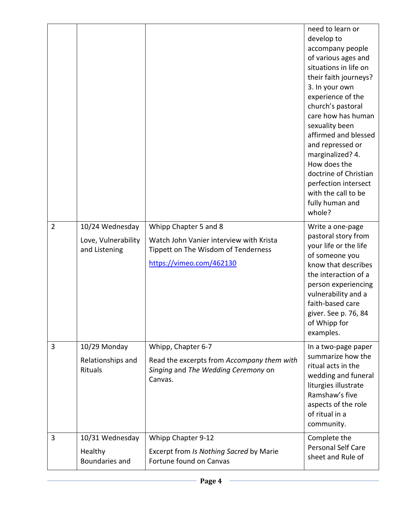|                |                                                         |                                                                                                                                     | need to learn or<br>develop to<br>accompany people<br>of various ages and<br>situations in life on<br>their faith journeys?<br>3. In your own<br>experience of the<br>church's pastoral<br>care how has human<br>sexuality been<br>affirmed and blessed<br>and repressed or<br>marginalized? 4.<br>How does the<br>doctrine of Christian<br>perfection intersect<br>with the call to be<br>fully human and<br>whole? |
|----------------|---------------------------------------------------------|-------------------------------------------------------------------------------------------------------------------------------------|----------------------------------------------------------------------------------------------------------------------------------------------------------------------------------------------------------------------------------------------------------------------------------------------------------------------------------------------------------------------------------------------------------------------|
| $\overline{2}$ | 10/24 Wednesday<br>Love, Vulnerability<br>and Listening | Whipp Chapter 5 and 8<br>Watch John Vanier interview with Krista<br>Tippett on The Wisdom of Tenderness<br>https://vimeo.com/462130 | Write a one-page<br>pastoral story from<br>your life or the life<br>of someone you<br>know that describes<br>the interaction of a<br>person experiencing<br>vulnerability and a<br>faith-based care<br>giver. See p. 76, 84<br>of Whipp for<br>examples.                                                                                                                                                             |
| 3              | 10/29 Monday<br>Relationships and<br>Rituals            | Whipp, Chapter 6-7<br>Read the excerpts from Accompany them with<br>Singing and The Wedding Ceremony on<br>Canvas.                  | In a two-page paper<br>summarize how the<br>ritual acts in the<br>wedding and funeral<br>liturgies illustrate<br>Ramshaw's five<br>aspects of the role<br>of ritual in a<br>community.                                                                                                                                                                                                                               |
| 3              | 10/31 Wednesday<br>Healthy<br><b>Boundaries and</b>     | Whipp Chapter 9-12<br>Excerpt from Is Nothing Sacred by Marie<br>Fortune found on Canvas                                            | Complete the<br><b>Personal Self Care</b><br>sheet and Rule of                                                                                                                                                                                                                                                                                                                                                       |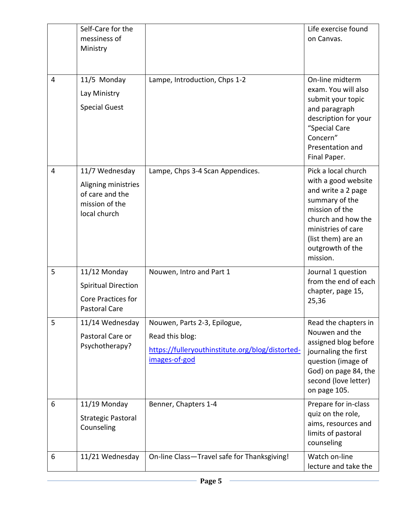|                | Self-Care for the<br>messiness of<br>Ministry                                                   |                                                                                                                      | Life exercise found<br>on Canvas.                                                                                                                                                                      |
|----------------|-------------------------------------------------------------------------------------------------|----------------------------------------------------------------------------------------------------------------------|--------------------------------------------------------------------------------------------------------------------------------------------------------------------------------------------------------|
| 4              | 11/5 Monday<br>Lay Ministry<br><b>Special Guest</b>                                             | Lampe, Introduction, Chps 1-2                                                                                        | On-line midterm<br>exam. You will also<br>submit your topic<br>and paragraph<br>description for your<br>"Special Care<br>Concern"<br>Presentation and<br>Final Paper.                                  |
| $\overline{4}$ | 11/7 Wednesday<br>Aligning ministries<br>of care and the<br>mission of the<br>local church      | Lampe, Chps 3-4 Scan Appendices.                                                                                     | Pick a local church<br>with a good website<br>and write a 2 page<br>summary of the<br>mission of the<br>church and how the<br>ministries of care<br>(list them) are an<br>outgrowth of the<br>mission. |
| 5              | 11/12 Monday<br><b>Spiritual Direction</b><br><b>Core Practices for</b><br><b>Pastoral Care</b> | Nouwen, Intro and Part 1                                                                                             | Journal 1 question<br>from the end of each<br>chapter, page 15,<br>25,36                                                                                                                               |
| 5              | 11/14 Wednesday<br>Pastoral Care or<br>Psychotherapy?                                           | Nouwen, Parts 2-3, Epilogue,<br>Read this blog:<br>https://fulleryouthinstitute.org/blog/distorted-<br>images-of-god | Read the chapters in<br>Nouwen and the<br>assigned blog before<br>journaling the first<br>question (image of<br>God) on page 84, the<br>second (love letter)<br>on page 105.                           |
| 6              | 11/19 Monday<br><b>Strategic Pastoral</b><br>Counseling                                         | Benner, Chapters 1-4                                                                                                 | Prepare for in-class<br>quiz on the role,<br>aims, resources and<br>limits of pastoral<br>counseling                                                                                                   |
| 6              | 11/21 Wednesday                                                                                 | On-line Class-Travel safe for Thanksgiving!                                                                          | Watch on-line<br>lecture and take the                                                                                                                                                                  |